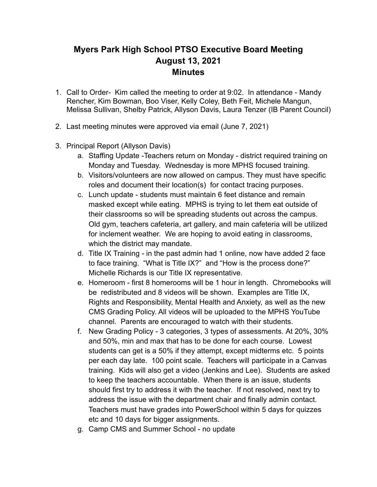## **Myers Park High School PTSO Executive Board Meeting August 13, 2021 Minutes**

- 1. Call to Order- Kim called the meeting to order at 9:02. In attendance Mandy Rencher, Kim Bowman, Boo Viser, Kelly Coley, Beth Feit, Michele Mangun, Melissa Sullivan, Shelby Patrick, Allyson Davis, Laura Tenzer (IB Parent Council)
- 2. Last meeting minutes were approved via email (June 7, 2021)
- 3. Principal Report (Allyson Davis)
	- a. Staffing Update -Teachers return on Monday district required training on Monday and Tuesday. Wednesday is more MPHS focused training.
	- b. Visitors/volunteers are now allowed on campus. They must have specific roles and document their location(s) for contact tracing purposes.
	- c. Lunch update students must maintain 6 feet distance and remain masked except while eating. MPHS is trying to let them eat outside of their classrooms so will be spreading students out across the campus. Old gym, teachers cafeteria, art gallery, and main cafeteria will be utilized for inclement weather. We are hoping to avoid eating in classrooms, which the district may mandate.
	- d. Title IX Training in the past admin had 1 online, now have added 2 face to face training. "What is Title IX?" and "How is the process done?" Michelle Richards is our Title IX representative.
	- e. Homeroom first 8 homerooms will be 1 hour in length. Chromebooks will be redistributed and 8 videos will be shown. Examples are Title IX, Rights and Responsibility, Mental Health and Anxiety, as well as the new CMS Grading Policy. All videos will be uploaded to the MPHS YouTube channel. Parents are encouraged to watch with their students.
	- f. New Grading Policy 3 categories, 3 types of assessments. At 20%, 30% and 50%, min and max that has to be done for each course. Lowest students can get is a 50% if they attempt, except midterms etc. 5 points per each day late. 100 point scale. Teachers will participate in a Canvas training. Kids will also get a video (Jenkins and Lee). Students are asked to keep the teachers accountable. When there is an issue, students should first try to address it with the teacher. If not resolved, next try to address the issue with the department chair and finally admin contact. Teachers must have grades into PowerSchool within 5 days for quizzes etc and 10 days for bigger assignments.
	- g. Camp CMS and Summer School no update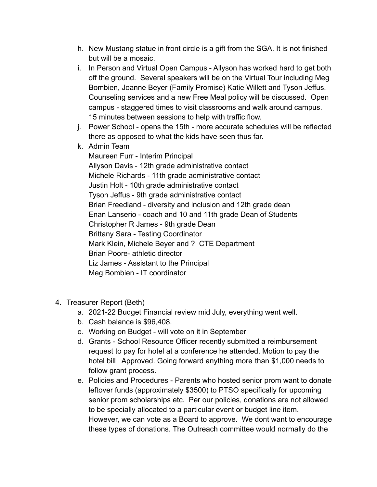- h. New Mustang statue in front circle is a gift from the SGA. It is not finished but will be a mosaic.
- i. In Person and Virtual Open Campus Allyson has worked hard to get both off the ground. Several speakers will be on the Virtual Tour including Meg Bombien, Joanne Beyer (Family Promise) Katie Willett and Tyson Jeffus. Counseling services and a new Free Meal policy will be discussed. Open campus - staggered times to visit classrooms and walk around campus. 15 minutes between sessions to help with traffic flow.
- j. Power School opens the 15th more accurate schedules will be reflected there as opposed to what the kids have seen thus far.
- k. Admin Team

Maureen Furr - Interim Principal Allyson Davis - 12th grade administrative contact Michele Richards - 11th grade administrative contact Justin Holt - 10th grade administrative contact Tyson Jeffus - 9th grade administrative contact Brian Freedland - diversity and inclusion and 12th grade dean Enan Lanserio - coach and 10 and 11th grade Dean of Students Christopher R James - 9th grade Dean Brittany Sara - Testing Coordinator Mark Klein, Michele Beyer and ? CTE Department Brian Poore- athletic director Liz James - Assistant to the Principal Meg Bombien - IT coordinator

- 4. Treasurer Report (Beth)
	- a. 2021-22 Budget Financial review mid July, everything went well.
	- b. Cash balance is \$96,408.
	- c. Working on Budget will vote on it in September
	- d. Grants School Resource Officer recently submitted a reimbursement request to pay for hotel at a conference he attended. Motion to pay the hotel bill Approved. Going forward anything more than \$1,000 needs to follow grant process.
	- e. Policies and Procedures Parents who hosted senior prom want to donate leftover funds (approximately \$3500) to PTSO specifically for upcoming senior prom scholarships etc. Per our policies, donations are not allowed to be specially allocated to a particular event or budget line item. However, we can vote as a Board to approve. We dont want to encourage these types of donations. The Outreach committee would normally do the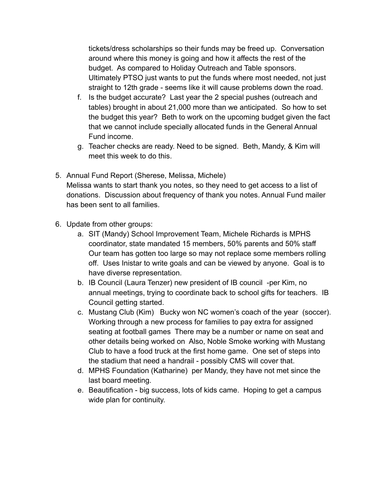tickets/dress scholarships so their funds may be freed up. Conversation around where this money is going and how it affects the rest of the budget. As compared to Holiday Outreach and Table sponsors. Ultimately PTSO just wants to put the funds where most needed, not just straight to 12th grade - seems like it will cause problems down the road.

- f. Is the budget accurate? Last year the 2 special pushes (outreach and tables) brought in about 21,000 more than we anticipated. So how to set the budget this year? Beth to work on the upcoming budget given the fact that we cannot include specially allocated funds in the General Annual Fund income.
- g. Teacher checks are ready. Need to be signed. Beth, Mandy, & Kim will meet this week to do this.
- 5. Annual Fund Report (Sherese, Melissa, Michele) Melissa wants to start thank you notes, so they need to get access to a list of donations. Discussion about frequency of thank you notes. Annual Fund mailer has been sent to all families.
- 6. Update from other groups:
	- a. SIT (Mandy) School Improvement Team, Michele Richards is MPHS coordinator, state mandated 15 members, 50% parents and 50% staff Our team has gotten too large so may not replace some members rolling off. Uses Inistar to write goals and can be viewed by anyone. Goal is to have diverse representation.
	- b. IB Council (Laura Tenzer) new president of IB council -per Kim, no annual meetings, trying to coordinate back to school gifts for teachers. IB Council getting started.
	- c. Mustang Club (Kim) Bucky won NC women's coach of the year (soccer). Working through a new process for families to pay extra for assigned seating at football games There may be a number or name on seat and other details being worked on Also, Noble Smoke working with Mustang Club to have a food truck at the first home game. One set of steps into the stadium that need a handrail - possibly CMS will cover that.
	- d. MPHS Foundation (Katharine) per Mandy, they have not met since the last board meeting.
	- e. Beautification big success, lots of kids came. Hoping to get a campus wide plan for continuity.